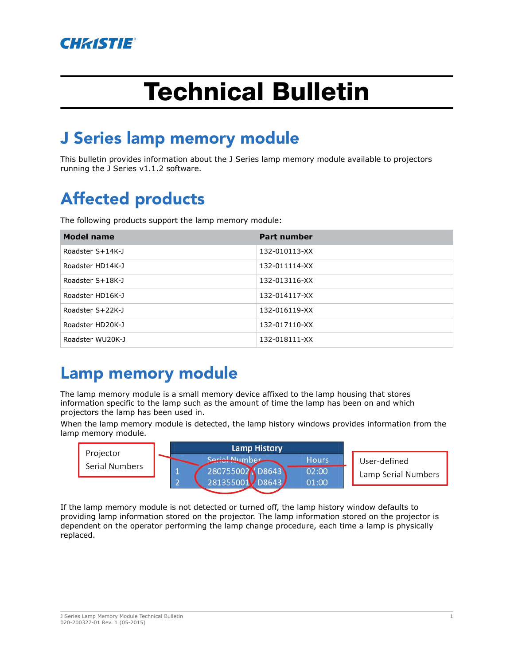

# Technical Bulletin

## J Series lamp memory module

This bulletin provides information about the J Series lamp memory module available to projectors running the J Series v1.1.2 software.

# Affected products

The following products support the lamp memory module:

| <b>Model name</b> | <b>Part number</b> |
|-------------------|--------------------|
| Roadster S+14K-J  | 132-010113-XX      |
| Roadster HD14K-J  | 132-011114-XX      |
| Roadster S+18K-J  | 132-013116-XX      |
| Roadster HD16K-J  | 132-014117-XX      |
| Roadster S+22K-J  | 132-016119-XX      |
| Roadster HD20K-J  | 132-017110-XX      |
| Roadster WU20K-J  | 132-018111-XX      |

### Lamp memory module

The lamp memory module is a small memory device affixed to the lamp housing that stores information specific to the lamp such as the amount of time the lamp has been on and which projectors the lamp has been used in.

When the lamp memory module is detected, the lamp history windows provides information from the lamp memory module.



If the lamp memory module is not detected or turned off, the lamp history window defaults to providing lamp information stored on the projector. The lamp information stored on the projector is dependent on the operator performing the lamp change procedure, each time a lamp is physically replaced.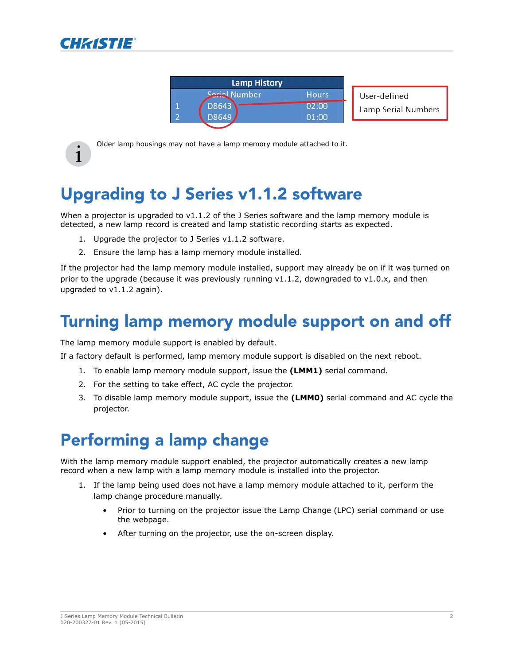





Under lamp nousings may not have a lamp memory module attached to it.<br>
<br> **i** Older lamp housings may not have a lamp memory module attached to it.

# Upgrading to J Series v1.1.2 software

When a projector is upgraded to v1.1.2 of the J Series software and the lamp memory module is detected, a new lamp record is created and lamp statistic recording starts as expected.

- 1. Upgrade the projector to J Series v1.1.2 software.
- 2. Ensure the lamp has a lamp memory module installed.

If the projector had the lamp memory module installed, support may already be on if it was turned on prior to the upgrade (because it was previously running  $v1.1.2$ , downgraded to  $v1.0.x$ , and then upgraded to v1.1.2 again).

### Turning lamp memory module support on and off

The lamp memory module support is enabled by default.

If a factory default is performed, lamp memory module support is disabled on the next reboot.

- 1. To enable lamp memory module support, issue the **(LMM1)** serial command.
- 2. For the setting to take effect, AC cycle the projector.
- 3. To disable lamp memory module support, issue the **(LMM0)** serial command and AC cycle the projector.

### Performing a lamp change

With the lamp memory module support enabled, the projector automatically creates a new lamp record when a new lamp with a lamp memory module is installed into the projector.

- 1. If the lamp being used does not have a lamp memory module attached to it, perform the lamp change procedure manually.
	- Prior to turning on the projector issue the Lamp Change (LPC) serial command or use the webpage.
	- After turning on the projector, use the on-screen display.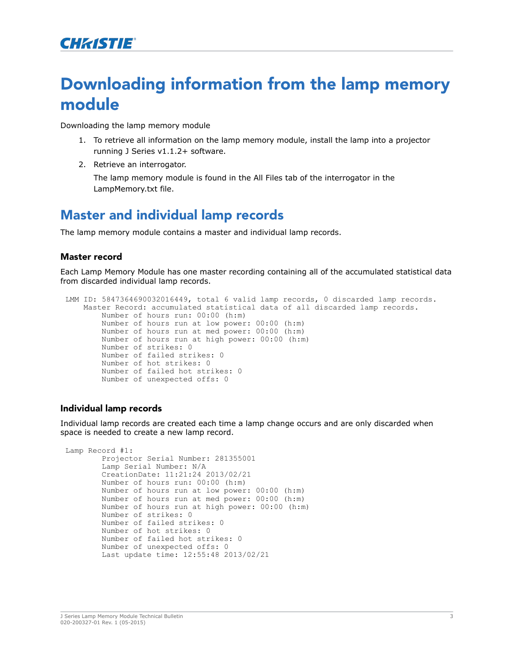### Downloading information from the lamp memory module

Downloading the lamp memory module

- 1. To retrieve all information on the lamp memory module, install the lamp into a projector running J Series v1.1.2+ software.
- 2. Retrieve an interrogator.

The lamp memory module is found in the All Files tab of the interrogator in the LampMemory.txt file.

### Master and individual lamp records

The lamp memory module contains a master and individual lamp records.

#### Master record

Each Lamp Memory Module has one master recording containing all of the accumulated statistical data from discarded individual lamp records.

```
LMM ID: 5847364690032016449, total 6 valid lamp records, 0 discarded lamp records. 
    Master Record: accumulated statistical data of all discarded lamp records.
         Number of hours run: 00:00 (h:m)
         Number of hours run at low power: 00:00 (h:m)
         Number of hours run at med power: 00:00 (h:m)
         Number of hours run at high power: 00:00 (h:m)
         Number of strikes: 0
         Number of failed strikes: 0
         Number of hot strikes: 0
         Number of failed hot strikes: 0
         Number of unexpected offs: 0
```
#### Individual lamp records

Individual lamp records are created each time a lamp change occurs and are only discarded when space is needed to create a new lamp record.

```
Lamp Record #1:
         Projector Serial Number: 281355001
         Lamp Serial Number: N/A
         CreationDate: 11:21:24 2013/02/21
         Number of hours run: 00:00 (h:m)
         Number of hours run at low power: 00:00 (h:m)
         Number of hours run at med power: 00:00 (h:m)
         Number of hours run at high power: 00:00 (h:m)
         Number of strikes: 0
         Number of failed strikes: 0
         Number of hot strikes: 0
         Number of failed hot strikes: 0
         Number of unexpected offs: 0
         Last update time: 12:55:48 2013/02/21
```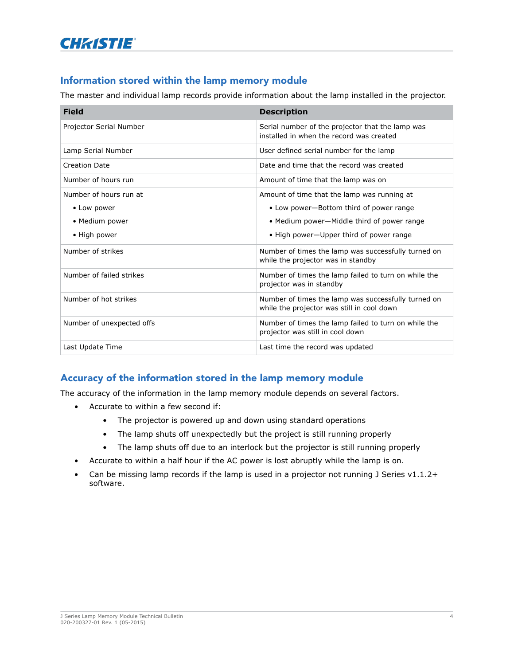

#### Information stored within the lamp memory module

The master and individual lamp records provide information about the lamp installed in the projector.

| <b>Field</b>              | <b>Description</b>                                                                                |
|---------------------------|---------------------------------------------------------------------------------------------------|
| Projector Serial Number   | Serial number of the projector that the lamp was<br>installed in when the record was created      |
| Lamp Serial Number        | User defined serial number for the lamp                                                           |
| <b>Creation Date</b>      | Date and time that the record was created                                                         |
| Number of hours run       | Amount of time that the lamp was on                                                               |
| Number of hours run at    | Amount of time that the lamp was running at                                                       |
| • Low power               | • Low power-Bottom third of power range                                                           |
| • Medium power            | • Medium power-Middle third of power range                                                        |
| • High power              | • High power-Upper third of power range                                                           |
| Number of strikes         | Number of times the lamp was successfully turned on<br>while the projector was in standby         |
| Number of failed strikes  | Number of times the lamp failed to turn on while the<br>projector was in standby                  |
| Number of hot strikes     | Number of times the lamp was successfully turned on<br>while the projector was still in cool down |
| Number of unexpected offs | Number of times the lamp failed to turn on while the<br>projector was still in cool down          |
| Last Update Time          | Last time the record was updated                                                                  |

#### Accuracy of the information stored in the lamp memory module

The accuracy of the information in the lamp memory module depends on several factors.

- Accurate to within a few second if:
	- The projector is powered up and down using standard operations
	- The lamp shuts off unexpectedly but the project is still running properly
	- The lamp shuts off due to an interlock but the projector is still running properly
- Accurate to within a half hour if the AC power is lost abruptly while the lamp is on.
- Can be missing lamp records if the lamp is used in a projector not running J Series v1.1.2+ software.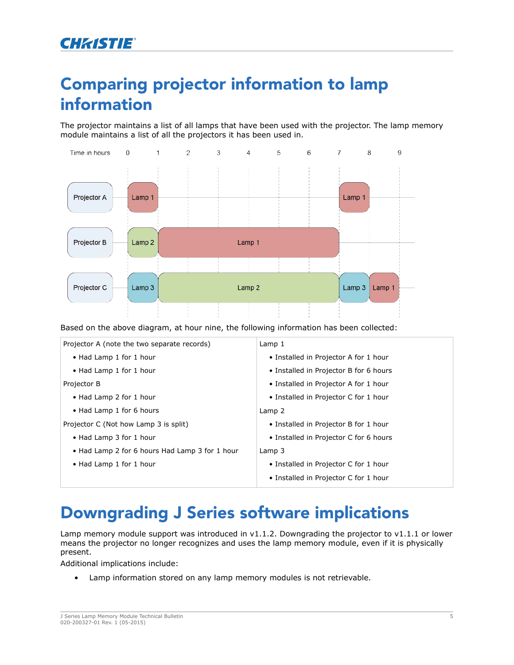### Comparing projector information to lamp information

The projector maintains a list of all lamps that have been used with the projector. The lamp memory module maintains a list of all the projectors it has been used in.



Based on the above diagram, at hour nine, the following information has been collected:

| Projector A (note the two separate records)    | Lamp 1                                 |
|------------------------------------------------|----------------------------------------|
| • Had Lamp 1 for 1 hour                        | • Installed in Projector A for 1 hour  |
| • Had Lamp 1 for 1 hour                        | • Installed in Projector B for 6 hours |
| Projector B                                    | • Installed in Projector A for 1 hour  |
| • Had Lamp 2 for 1 hour                        | • Installed in Projector C for 1 hour  |
| • Had Lamp 1 for 6 hours                       | Lamp 2                                 |
| Projector C (Not how Lamp 3 is split)          | • Installed in Projector B for 1 hour  |
| • Had Lamp 3 for 1 hour                        | • Installed in Projector C for 6 hours |
| • Had Lamp 2 for 6 hours Had Lamp 3 for 1 hour | Lamp $3$                               |
| • Had Lamp 1 for 1 hour                        | • Installed in Projector C for 1 hour  |
|                                                | • Installed in Projector C for 1 hour  |

### Downgrading J Series software implications

Lamp memory module support was introduced in v1.1.2. Downgrading the projector to v1.1.1 or lower means the projector no longer recognizes and uses the lamp memory module, even if it is physically present.

Additional implications include:

• Lamp information stored on any lamp memory modules is not retrievable.